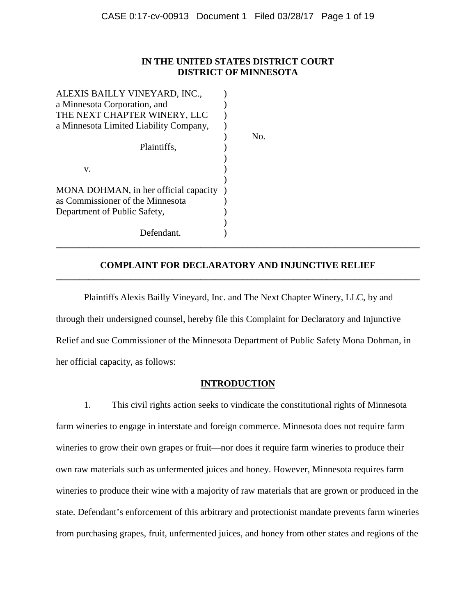# **IN THE UNITED STATES DISTRICT COURT DISTRICT OF MINNESOTA**

) No.

| ALEXIS BAILLY VINEYARD, INC.,          |  |
|----------------------------------------|--|
| a Minnesota Corporation, and           |  |
| THE NEXT CHAPTER WINERY, LLC           |  |
| a Minnesota Limited Liability Company, |  |
|                                        |  |
| Plaintiffs.                            |  |
|                                        |  |
| v.                                     |  |
|                                        |  |
| MONA DOHMAN, in her official capacity  |  |
| as Commissioner of the Minnesota       |  |
| Department of Public Safety,           |  |
|                                        |  |
| Defendant.                             |  |
|                                        |  |

# **COMPLAINT FOR DECLARATORY AND INJUNCTIVE RELIEF \_\_\_\_\_\_\_\_\_\_\_\_\_\_\_\_\_\_\_\_\_\_\_\_\_\_\_\_\_\_\_\_\_\_\_\_\_\_\_\_\_\_\_\_\_\_\_\_\_\_\_\_\_\_\_\_\_\_\_\_\_\_\_\_\_\_\_\_\_\_\_\_\_\_\_\_\_\_**

**\_\_\_\_\_\_\_\_\_\_\_\_\_\_\_\_\_\_\_\_\_\_\_\_\_\_\_\_\_\_\_\_\_\_\_\_\_\_\_\_\_\_\_\_\_\_\_\_\_\_\_\_\_\_\_\_\_\_\_\_\_\_\_\_\_\_\_\_\_\_\_\_\_\_\_\_\_\_**

Plaintiffs Alexis Bailly Vineyard, Inc. and The Next Chapter Winery, LLC, by and through their undersigned counsel, hereby file this Complaint for Declaratory and Injunctive Relief and sue Commissioner of the Minnesota Department of Public Safety Mona Dohman, in her official capacity, as follows:

# **INTRODUCTION**

1. This civil rights action seeks to vindicate the constitutional rights of Minnesota farm wineries to engage in interstate and foreign commerce. Minnesota does not require farm wineries to grow their own grapes or fruit—nor does it require farm wineries to produce their own raw materials such as unfermented juices and honey. However, Minnesota requires farm wineries to produce their wine with a majority of raw materials that are grown or produced in the state. Defendant's enforcement of this arbitrary and protectionist mandate prevents farm wineries from purchasing grapes, fruit, unfermented juices, and honey from other states and regions of the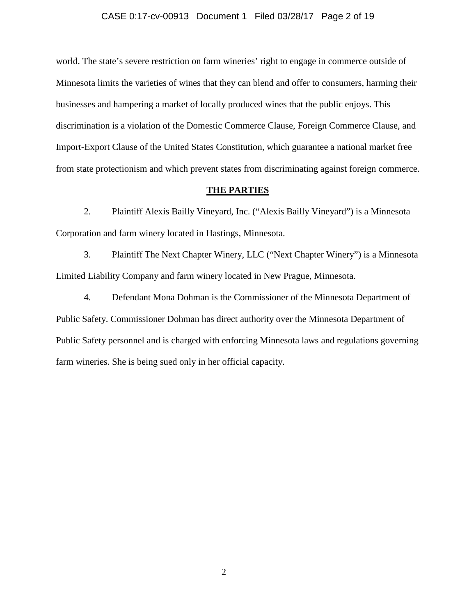#### CASE 0:17-cv-00913 Document 1 Filed 03/28/17 Page 2 of 19

world. The state's severe restriction on farm wineries' right to engage in commerce outside of Minnesota limits the varieties of wines that they can blend and offer to consumers, harming their businesses and hampering a market of locally produced wines that the public enjoys. This discrimination is a violation of the Domestic Commerce Clause, Foreign Commerce Clause, and Import-Export Clause of the United States Constitution, which guarantee a national market free from state protectionism and which prevent states from discriminating against foreign commerce.

#### **THE PARTIES**

2. Plaintiff Alexis Bailly Vineyard, Inc. ("Alexis Bailly Vineyard") is a Minnesota Corporation and farm winery located in Hastings, Minnesota.

3. Plaintiff The Next Chapter Winery, LLC ("Next Chapter Winery") is a Minnesota Limited Liability Company and farm winery located in New Prague, Minnesota.

4. Defendant Mona Dohman is the Commissioner of the Minnesota Department of Public Safety. Commissioner Dohman has direct authority over the Minnesota Department of Public Safety personnel and is charged with enforcing Minnesota laws and regulations governing farm wineries. She is being sued only in her official capacity.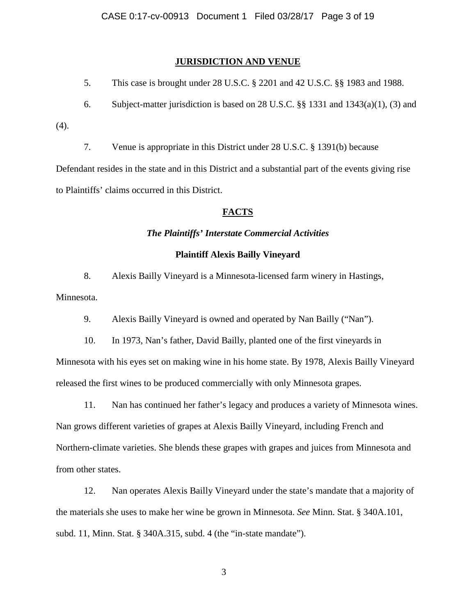## **JURISDICTION AND VENUE**

5. This case is brought under 28 U.S.C. § 2201 and 42 U.S.C. §§ 1983 and 1988.

6. Subject-matter jurisdiction is based on 28 U.S.C. §§ 1331 and 1343(a)(1), (3) and

(4).

7. Venue is appropriate in this District under 28 U.S.C. § 1391(b) because

Defendant resides in the state and in this District and a substantial part of the events giving rise to Plaintiffs' claims occurred in this District.

# **FACTS**

### *The Plaintiffs' Interstate Commercial Activities*

# **Plaintiff Alexis Bailly Vineyard**

8. Alexis Bailly Vineyard is a Minnesota-licensed farm winery in Hastings, Minnesota.

9. Alexis Bailly Vineyard is owned and operated by Nan Bailly ("Nan").

10. In 1973, Nan's father, David Bailly, planted one of the first vineyards in

Minnesota with his eyes set on making wine in his home state. By 1978, Alexis Bailly Vineyard released the first wines to be produced commercially with only Minnesota grapes.

11. Nan has continued her father's legacy and produces a variety of Minnesota wines. Nan grows different varieties of grapes at Alexis Bailly Vineyard, including French and Northern-climate varieties. She blends these grapes with grapes and juices from Minnesota and from other states.

12. Nan operates Alexis Bailly Vineyard under the state's mandate that a majority of the materials she uses to make her wine be grown in Minnesota. *See* Minn. Stat. § 340A.101, subd. 11, Minn. Stat. § 340A.315, subd. 4 (the "in-state mandate").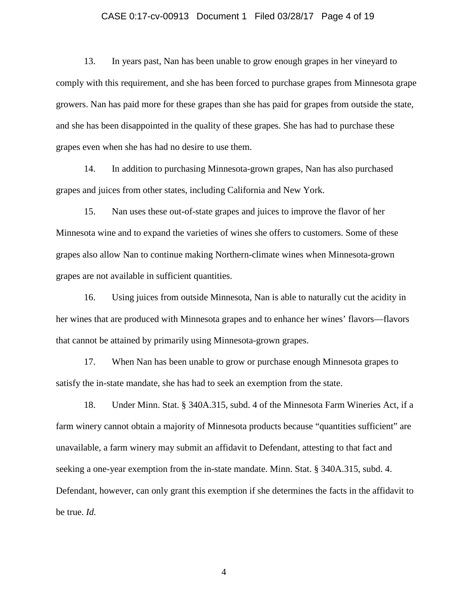# CASE 0:17-cv-00913 Document 1 Filed 03/28/17 Page 4 of 19

13. In years past, Nan has been unable to grow enough grapes in her vineyard to comply with this requirement, and she has been forced to purchase grapes from Minnesota grape growers. Nan has paid more for these grapes than she has paid for grapes from outside the state, and she has been disappointed in the quality of these grapes. She has had to purchase these grapes even when she has had no desire to use them.

14. In addition to purchasing Minnesota-grown grapes, Nan has also purchased grapes and juices from other states, including California and New York.

15. Nan uses these out-of-state grapes and juices to improve the flavor of her Minnesota wine and to expand the varieties of wines she offers to customers. Some of these grapes also allow Nan to continue making Northern-climate wines when Minnesota-grown grapes are not available in sufficient quantities.

16. Using juices from outside Minnesota, Nan is able to naturally cut the acidity in her wines that are produced with Minnesota grapes and to enhance her wines' flavors—flavors that cannot be attained by primarily using Minnesota-grown grapes.

17. When Nan has been unable to grow or purchase enough Minnesota grapes to satisfy the in-state mandate, she has had to seek an exemption from the state.

18. Under Minn. Stat. § 340A.315, subd. 4 of the Minnesota Farm Wineries Act, if a farm winery cannot obtain a majority of Minnesota products because "quantities sufficient" are unavailable, a farm winery may submit an affidavit to Defendant, attesting to that fact and seeking a one-year exemption from the in-state mandate. Minn. Stat. § 340A.315, subd. 4. Defendant, however, can only grant this exemption if she determines the facts in the affidavit to be true. *Id.*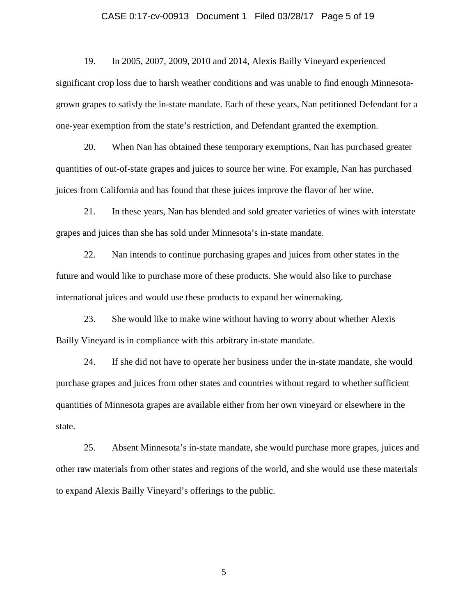# CASE 0:17-cv-00913 Document 1 Filed 03/28/17 Page 5 of 19

19. In 2005, 2007, 2009, 2010 and 2014, Alexis Bailly Vineyard experienced significant crop loss due to harsh weather conditions and was unable to find enough Minnesotagrown grapes to satisfy the in-state mandate. Each of these years, Nan petitioned Defendant for a one-year exemption from the state's restriction, and Defendant granted the exemption.

20. When Nan has obtained these temporary exemptions, Nan has purchased greater quantities of out-of-state grapes and juices to source her wine. For example, Nan has purchased juices from California and has found that these juices improve the flavor of her wine.

21. In these years, Nan has blended and sold greater varieties of wines with interstate grapes and juices than she has sold under Minnesota's in-state mandate.

22. Nan intends to continue purchasing grapes and juices from other states in the future and would like to purchase more of these products. She would also like to purchase international juices and would use these products to expand her winemaking.

23. She would like to make wine without having to worry about whether Alexis Bailly Vineyard is in compliance with this arbitrary in-state mandate.

24. If she did not have to operate her business under the in-state mandate, she would purchase grapes and juices from other states and countries without regard to whether sufficient quantities of Minnesota grapes are available either from her own vineyard or elsewhere in the state.

25. Absent Minnesota's in-state mandate, she would purchase more grapes, juices and other raw materials from other states and regions of the world, and she would use these materials to expand Alexis Bailly Vineyard's offerings to the public.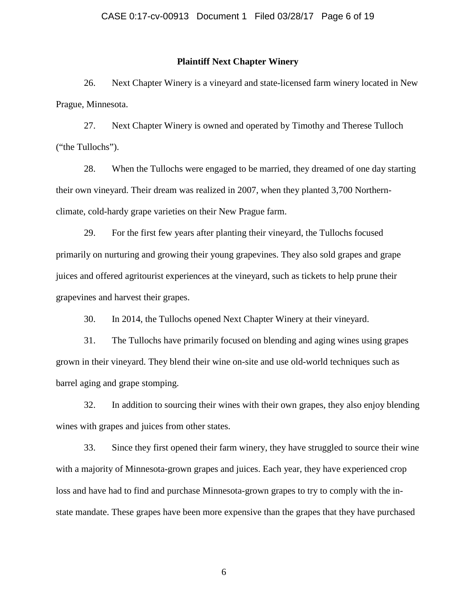## **Plaintiff Next Chapter Winery**

26. Next Chapter Winery is a vineyard and state-licensed farm winery located in New Prague, Minnesota.

27. Next Chapter Winery is owned and operated by Timothy and Therese Tulloch ("the Tullochs").

28. When the Tullochs were engaged to be married, they dreamed of one day starting their own vineyard. Their dream was realized in 2007, when they planted 3,700 Northernclimate, cold-hardy grape varieties on their New Prague farm.

29. For the first few years after planting their vineyard, the Tullochs focused primarily on nurturing and growing their young grapevines. They also sold grapes and grape juices and offered agritourist experiences at the vineyard, such as tickets to help prune their grapevines and harvest their grapes.

30. In 2014, the Tullochs opened Next Chapter Winery at their vineyard.

31. The Tullochs have primarily focused on blending and aging wines using grapes grown in their vineyard. They blend their wine on-site and use old-world techniques such as barrel aging and grape stomping.

32. In addition to sourcing their wines with their own grapes, they also enjoy blending wines with grapes and juices from other states.

33. Since they first opened their farm winery, they have struggled to source their wine with a majority of Minnesota-grown grapes and juices. Each year, they have experienced crop loss and have had to find and purchase Minnesota-grown grapes to try to comply with the instate mandate. These grapes have been more expensive than the grapes that they have purchased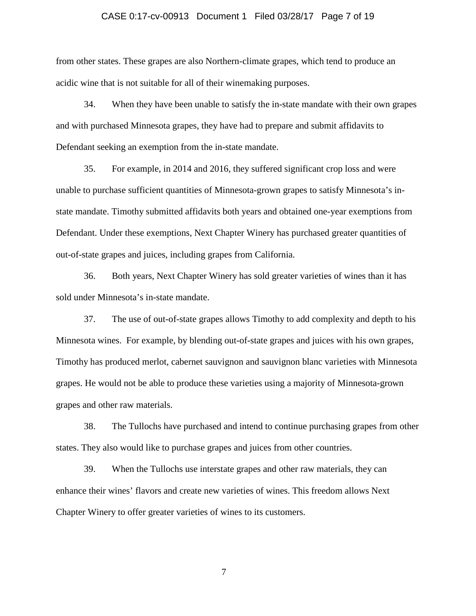# CASE 0:17-cv-00913 Document 1 Filed 03/28/17 Page 7 of 19

from other states. These grapes are also Northern-climate grapes, which tend to produce an acidic wine that is not suitable for all of their winemaking purposes.

34. When they have been unable to satisfy the in-state mandate with their own grapes and with purchased Minnesota grapes, they have had to prepare and submit affidavits to Defendant seeking an exemption from the in-state mandate.

35. For example, in 2014 and 2016, they suffered significant crop loss and were unable to purchase sufficient quantities of Minnesota-grown grapes to satisfy Minnesota's instate mandate. Timothy submitted affidavits both years and obtained one-year exemptions from Defendant. Under these exemptions, Next Chapter Winery has purchased greater quantities of out-of-state grapes and juices, including grapes from California.

36. Both years, Next Chapter Winery has sold greater varieties of wines than it has sold under Minnesota's in-state mandate.

37. The use of out-of-state grapes allows Timothy to add complexity and depth to his Minnesota wines. For example, by blending out-of-state grapes and juices with his own grapes, Timothy has produced merlot, cabernet sauvignon and sauvignon blanc varieties with Minnesota grapes. He would not be able to produce these varieties using a majority of Minnesota-grown grapes and other raw materials.

38. The Tullochs have purchased and intend to continue purchasing grapes from other states. They also would like to purchase grapes and juices from other countries.

39. When the Tullochs use interstate grapes and other raw materials, they can enhance their wines' flavors and create new varieties of wines. This freedom allows Next Chapter Winery to offer greater varieties of wines to its customers.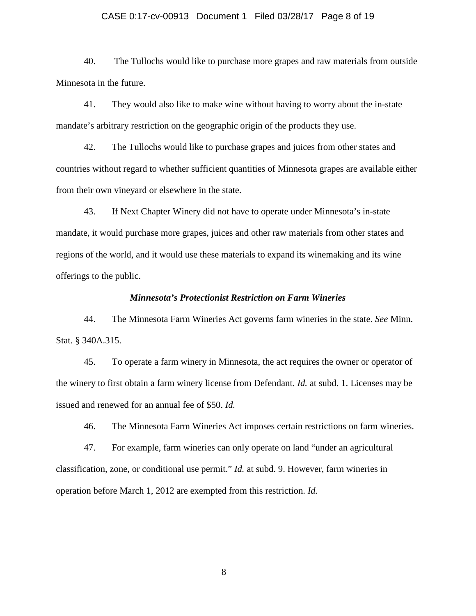#### CASE 0:17-cv-00913 Document 1 Filed 03/28/17 Page 8 of 19

40. The Tullochs would like to purchase more grapes and raw materials from outside Minnesota in the future.

41. They would also like to make wine without having to worry about the in-state mandate's arbitrary restriction on the geographic origin of the products they use.

42. The Tullochs would like to purchase grapes and juices from other states and countries without regard to whether sufficient quantities of Minnesota grapes are available either from their own vineyard or elsewhere in the state.

43. If Next Chapter Winery did not have to operate under Minnesota's in-state mandate, it would purchase more grapes, juices and other raw materials from other states and regions of the world, and it would use these materials to expand its winemaking and its wine offerings to the public.

#### *Minnesota's Protectionist Restriction on Farm Wineries*

44. The Minnesota Farm Wineries Act governs farm wineries in the state. *See* Minn. Stat. § 340A.315.

45. To operate a farm winery in Minnesota, the act requires the owner or operator of the winery to first obtain a farm winery license from Defendant. *Id.* at subd. 1. Licenses may be issued and renewed for an annual fee of \$50. *Id.*

46. The Minnesota Farm Wineries Act imposes certain restrictions on farm wineries.

47. For example, farm wineries can only operate on land "under an agricultural classification, zone, or conditional use permit." *Id.* at subd. 9. However, farm wineries in operation before March 1, 2012 are exempted from this restriction. *Id.*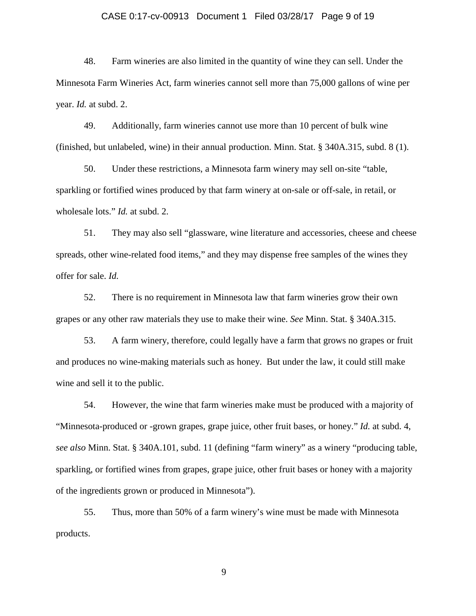# CASE 0:17-cv-00913 Document 1 Filed 03/28/17 Page 9 of 19

48. Farm wineries are also limited in the quantity of wine they can sell. Under the Minnesota Farm Wineries Act, farm wineries cannot sell more than 75,000 gallons of wine per year. *Id.* at subd. 2.

49. Additionally, farm wineries cannot use more than 10 percent of bulk wine (finished, but unlabeled, wine) in their annual production. Minn. Stat. § 340A.315, subd. 8 (1).

50. Under these restrictions, a Minnesota farm winery may sell on-site "table, sparkling or fortified wines produced by that farm winery at on-sale or off-sale, in retail, or wholesale lots." *Id.* at subd. 2.

51. They may also sell "glassware, wine literature and accessories, cheese and cheese spreads, other wine-related food items," and they may dispense free samples of the wines they offer for sale. *Id.*

52. There is no requirement in Minnesota law that farm wineries grow their own grapes or any other raw materials they use to make their wine. *See* Minn. Stat. § 340A.315.

53. A farm winery, therefore, could legally have a farm that grows no grapes or fruit and produces no wine-making materials such as honey. But under the law, it could still make wine and sell it to the public.

54. However, the wine that farm wineries make must be produced with a majority of "Minnesota-produced or -grown grapes, grape juice, other fruit bases, or honey." *Id.* at subd. 4, *see also* Minn. Stat. § 340A.101, subd. 11 (defining "farm winery" as a winery "producing table, sparkling, or fortified wines from grapes, grape juice, other fruit bases or honey with a majority of the ingredients grown or produced in Minnesota").

55. Thus, more than 50% of a farm winery's wine must be made with Minnesota products.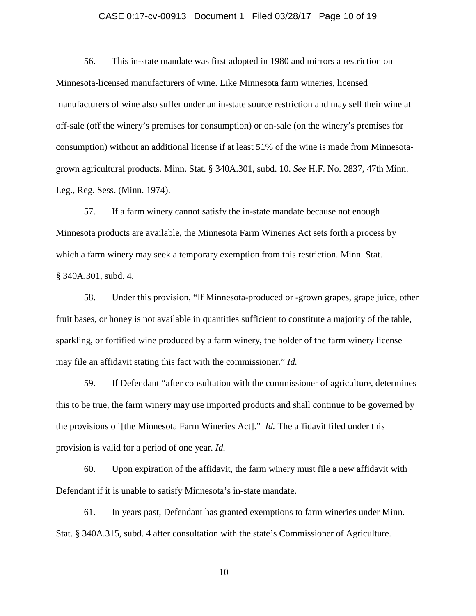#### CASE 0:17-cv-00913 Document 1 Filed 03/28/17 Page 10 of 19

56. This in-state mandate was first adopted in 1980 and mirrors a restriction on Minnesota-licensed manufacturers of wine. Like Minnesota farm wineries, licensed manufacturers of wine also suffer under an in-state source restriction and may sell their wine at off-sale (off the winery's premises for consumption) or on-sale (on the winery's premises for consumption) without an additional license if at least 51% of the wine is made from Minnesotagrown agricultural products. Minn. Stat. § 340A.301, subd. 10. *See* H.F. No. 2837, 47th Minn. Leg., Reg. Sess. (Minn. 1974).

57. If a farm winery cannot satisfy the in-state mandate because not enough Minnesota products are available, the Minnesota Farm Wineries Act sets forth a process by which a farm winery may seek a temporary exemption from this restriction. Minn. Stat. § 340A.301, subd. 4.

58. Under this provision, "If Minnesota-produced or -grown grapes, grape juice, other fruit bases, or honey is not available in quantities sufficient to constitute a majority of the table, sparkling, or fortified wine produced by a farm winery, the holder of the farm winery license may file an affidavit stating this fact with the commissioner." *Id.*

59. If Defendant "after consultation with the commissioner of agriculture, determines this to be true, the farm winery may use imported products and shall continue to be governed by the provisions of [the Minnesota Farm Wineries Act]." *Id.* The affidavit filed under this provision is valid for a period of one year. *Id.*

60. Upon expiration of the affidavit, the farm winery must file a new affidavit with Defendant if it is unable to satisfy Minnesota's in-state mandate.

61. In years past, Defendant has granted exemptions to farm wineries under Minn. Stat. § 340A.315, subd. 4 after consultation with the state's Commissioner of Agriculture.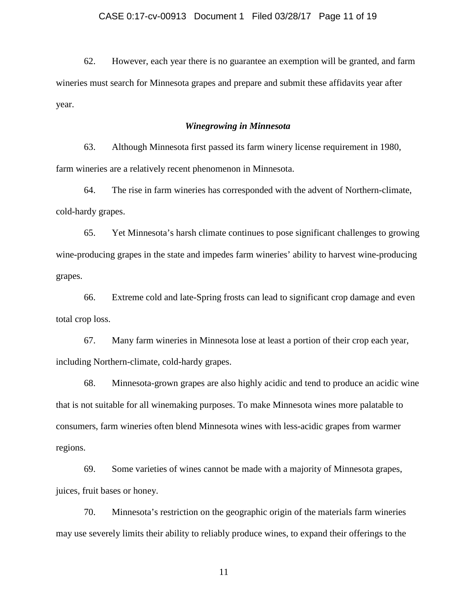62. However, each year there is no guarantee an exemption will be granted, and farm wineries must search for Minnesota grapes and prepare and submit these affidavits year after year.

## *Winegrowing in Minnesota*

63. Although Minnesota first passed its farm winery license requirement in 1980, farm wineries are a relatively recent phenomenon in Minnesota.

64. The rise in farm wineries has corresponded with the advent of Northern-climate, cold-hardy grapes.

65. Yet Minnesota's harsh climate continues to pose significant challenges to growing wine-producing grapes in the state and impedes farm wineries' ability to harvest wine-producing grapes.

66. Extreme cold and late-Spring frosts can lead to significant crop damage and even total crop loss.

67. Many farm wineries in Minnesota lose at least a portion of their crop each year, including Northern-climate, cold-hardy grapes.

68. Minnesota-grown grapes are also highly acidic and tend to produce an acidic wine that is not suitable for all winemaking purposes. To make Minnesota wines more palatable to consumers, farm wineries often blend Minnesota wines with less-acidic grapes from warmer regions.

69. Some varieties of wines cannot be made with a majority of Minnesota grapes, juices, fruit bases or honey.

70. Minnesota's restriction on the geographic origin of the materials farm wineries may use severely limits their ability to reliably produce wines, to expand their offerings to the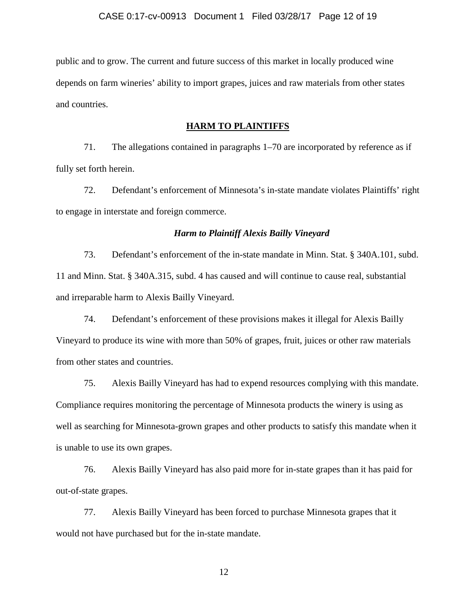public and to grow. The current and future success of this market in locally produced wine depends on farm wineries' ability to import grapes, juices and raw materials from other states and countries.

## **HARM TO PLAINTIFFS**

71. The allegations contained in paragraphs 1–70 are incorporated by reference as if fully set forth herein.

72. Defendant's enforcement of Minnesota's in-state mandate violates Plaintiffs' right to engage in interstate and foreign commerce.

### *Harm to Plaintiff Alexis Bailly Vineyard*

73. Defendant's enforcement of the in-state mandate in Minn. Stat. § 340A.101, subd. 11 and Minn. Stat. § 340A.315, subd. 4 has caused and will continue to cause real, substantial and irreparable harm to Alexis Bailly Vineyard.

74. Defendant's enforcement of these provisions makes it illegal for Alexis Bailly Vineyard to produce its wine with more than 50% of grapes, fruit, juices or other raw materials from other states and countries.

75. Alexis Bailly Vineyard has had to expend resources complying with this mandate. Compliance requires monitoring the percentage of Minnesota products the winery is using as well as searching for Minnesota-grown grapes and other products to satisfy this mandate when it is unable to use its own grapes.

76. Alexis Bailly Vineyard has also paid more for in-state grapes than it has paid for out-of-state grapes.

77. Alexis Bailly Vineyard has been forced to purchase Minnesota grapes that it would not have purchased but for the in-state mandate.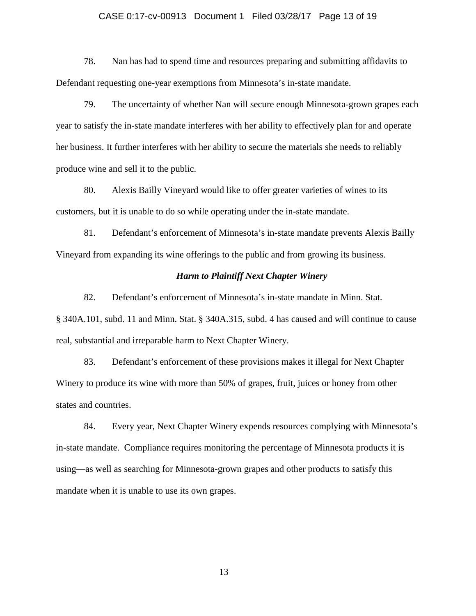#### CASE 0:17-cv-00913 Document 1 Filed 03/28/17 Page 13 of 19

78. Nan has had to spend time and resources preparing and submitting affidavits to Defendant requesting one-year exemptions from Minnesota's in-state mandate.

79. The uncertainty of whether Nan will secure enough Minnesota-grown grapes each year to satisfy the in-state mandate interferes with her ability to effectively plan for and operate her business. It further interferes with her ability to secure the materials she needs to reliably produce wine and sell it to the public.

80. Alexis Bailly Vineyard would like to offer greater varieties of wines to its customers, but it is unable to do so while operating under the in-state mandate.

81. Defendant's enforcement of Minnesota's in-state mandate prevents Alexis Bailly Vineyard from expanding its wine offerings to the public and from growing its business.

# *Harm to Plaintiff Next Chapter Winery*

82. Defendant's enforcement of Minnesota's in-state mandate in Minn. Stat. § 340A.101, subd. 11 and Minn. Stat. § 340A.315, subd. 4 has caused and will continue to cause real, substantial and irreparable harm to Next Chapter Winery.

83. Defendant's enforcement of these provisions makes it illegal for Next Chapter Winery to produce its wine with more than 50% of grapes, fruit, juices or honey from other states and countries.

84. Every year, Next Chapter Winery expends resources complying with Minnesota's in-state mandate. Compliance requires monitoring the percentage of Minnesota products it is using—as well as searching for Minnesota-grown grapes and other products to satisfy this mandate when it is unable to use its own grapes.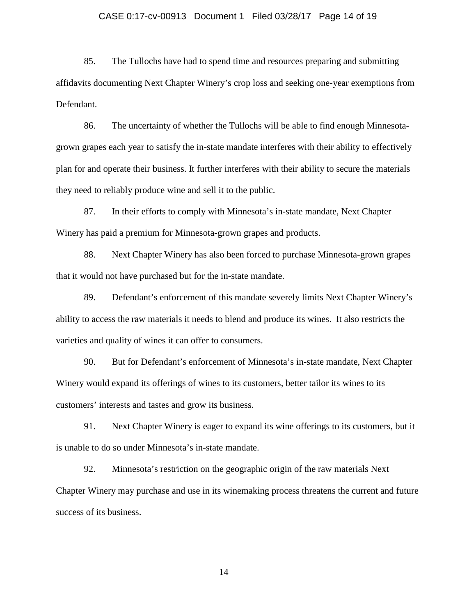#### CASE 0:17-cv-00913 Document 1 Filed 03/28/17 Page 14 of 19

85. The Tullochs have had to spend time and resources preparing and submitting affidavits documenting Next Chapter Winery's crop loss and seeking one-year exemptions from Defendant.

86. The uncertainty of whether the Tullochs will be able to find enough Minnesotagrown grapes each year to satisfy the in-state mandate interferes with their ability to effectively plan for and operate their business. It further interferes with their ability to secure the materials they need to reliably produce wine and sell it to the public.

87. In their efforts to comply with Minnesota's in-state mandate, Next Chapter Winery has paid a premium for Minnesota-grown grapes and products.

88. Next Chapter Winery has also been forced to purchase Minnesota-grown grapes that it would not have purchased but for the in-state mandate.

89. Defendant's enforcement of this mandate severely limits Next Chapter Winery's ability to access the raw materials it needs to blend and produce its wines. It also restricts the varieties and quality of wines it can offer to consumers.

90. But for Defendant's enforcement of Minnesota's in-state mandate, Next Chapter Winery would expand its offerings of wines to its customers, better tailor its wines to its customers' interests and tastes and grow its business.

91. Next Chapter Winery is eager to expand its wine offerings to its customers, but it is unable to do so under Minnesota's in-state mandate.

92. Minnesota's restriction on the geographic origin of the raw materials Next Chapter Winery may purchase and use in its winemaking process threatens the current and future success of its business.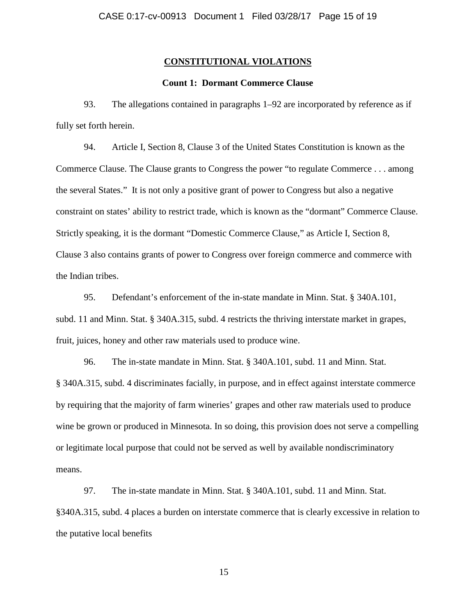# **CONSTITUTIONAL VIOLATIONS**

# **Count 1: Dormant Commerce Clause**

93. The allegations contained in paragraphs 1–92 are incorporated by reference as if fully set forth herein.

94. Article I, Section 8, Clause 3 of the United States Constitution is known as the Commerce Clause. The Clause grants to Congress the power "to regulate Commerce . . . among the several States." It is not only a positive grant of power to Congress but also a negative constraint on states' ability to restrict trade, which is known as the "dormant" Commerce Clause. Strictly speaking, it is the dormant "Domestic Commerce Clause," as Article I, Section 8, Clause 3 also contains grants of power to Congress over foreign commerce and commerce with the Indian tribes.

95. Defendant's enforcement of the in-state mandate in Minn. Stat. § 340A.101, subd. 11 and Minn. Stat. § 340A.315, subd. 4 restricts the thriving interstate market in grapes, fruit, juices, honey and other raw materials used to produce wine.

96. The in-state mandate in Minn. Stat. § 340A.101, subd. 11 and Minn. Stat. § 340A.315, subd. 4 discriminates facially, in purpose, and in effect against interstate commerce by requiring that the majority of farm wineries' grapes and other raw materials used to produce wine be grown or produced in Minnesota. In so doing, this provision does not serve a compelling or legitimate local purpose that could not be served as well by available nondiscriminatory means.

97. The in-state mandate in Minn. Stat. § 340A.101, subd. 11 and Minn. Stat. §340A.315, subd. 4 places a burden on interstate commerce that is clearly excessive in relation to the putative local benefits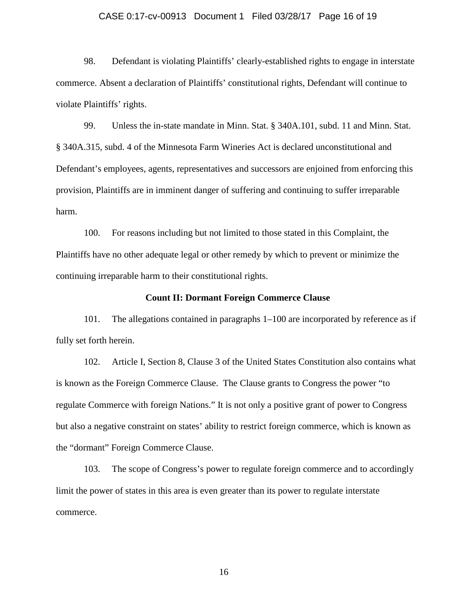#### CASE 0:17-cv-00913 Document 1 Filed 03/28/17 Page 16 of 19

98. Defendant is violating Plaintiffs' clearly-established rights to engage in interstate commerce. Absent a declaration of Plaintiffs' constitutional rights, Defendant will continue to violate Plaintiffs' rights.

99. Unless the in-state mandate in Minn. Stat. § 340A.101, subd. 11 and Minn. Stat. § 340A.315, subd. 4 of the Minnesota Farm Wineries Act is declared unconstitutional and Defendant's employees, agents, representatives and successors are enjoined from enforcing this provision, Plaintiffs are in imminent danger of suffering and continuing to suffer irreparable harm.

100. For reasons including but not limited to those stated in this Complaint, the Plaintiffs have no other adequate legal or other remedy by which to prevent or minimize the continuing irreparable harm to their constitutional rights.

#### **Count II: Dormant Foreign Commerce Clause**

101. The allegations contained in paragraphs 1–100 are incorporated by reference as if fully set forth herein.

102. Article I, Section 8, Clause 3 of the United States Constitution also contains what is known as the Foreign Commerce Clause. The Clause grants to Congress the power "to regulate Commerce with foreign Nations." It is not only a positive grant of power to Congress but also a negative constraint on states' ability to restrict foreign commerce, which is known as the "dormant" Foreign Commerce Clause.

103. The scope of Congress's power to regulate foreign commerce and to accordingly limit the power of states in this area is even greater than its power to regulate interstate commerce.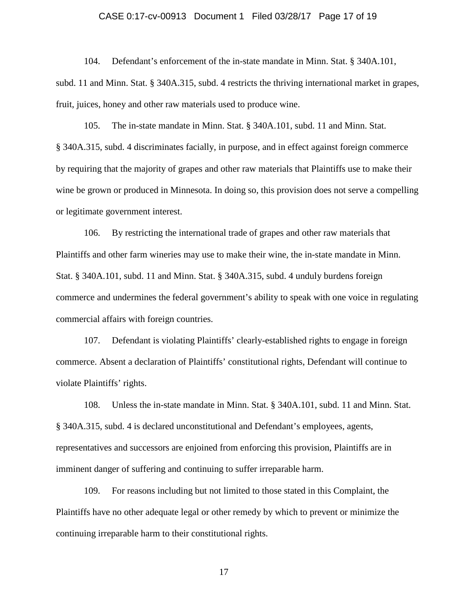#### CASE 0:17-cv-00913 Document 1 Filed 03/28/17 Page 17 of 19

104. Defendant's enforcement of the in-state mandate in Minn. Stat. § 340A.101,

subd. 11 and Minn. Stat. § 340A.315, subd. 4 restricts the thriving international market in grapes, fruit, juices, honey and other raw materials used to produce wine.

105. The in-state mandate in Minn. Stat. § 340A.101, subd. 11 and Minn. Stat. § 340A.315, subd. 4 discriminates facially, in purpose, and in effect against foreign commerce by requiring that the majority of grapes and other raw materials that Plaintiffs use to make their wine be grown or produced in Minnesota. In doing so, this provision does not serve a compelling or legitimate government interest.

106. By restricting the international trade of grapes and other raw materials that Plaintiffs and other farm wineries may use to make their wine, the in-state mandate in Minn. Stat. § 340A.101, subd. 11 and Minn. Stat. § 340A.315, subd. 4 unduly burdens foreign commerce and undermines the federal government's ability to speak with one voice in regulating commercial affairs with foreign countries.

107. Defendant is violating Plaintiffs' clearly-established rights to engage in foreign commerce. Absent a declaration of Plaintiffs' constitutional rights, Defendant will continue to violate Plaintiffs' rights.

108. Unless the in-state mandate in Minn. Stat. § 340A.101, subd. 11 and Minn. Stat. § 340A.315, subd. 4 is declared unconstitutional and Defendant's employees, agents, representatives and successors are enjoined from enforcing this provision, Plaintiffs are in imminent danger of suffering and continuing to suffer irreparable harm.

109. For reasons including but not limited to those stated in this Complaint, the Plaintiffs have no other adequate legal or other remedy by which to prevent or minimize the continuing irreparable harm to their constitutional rights.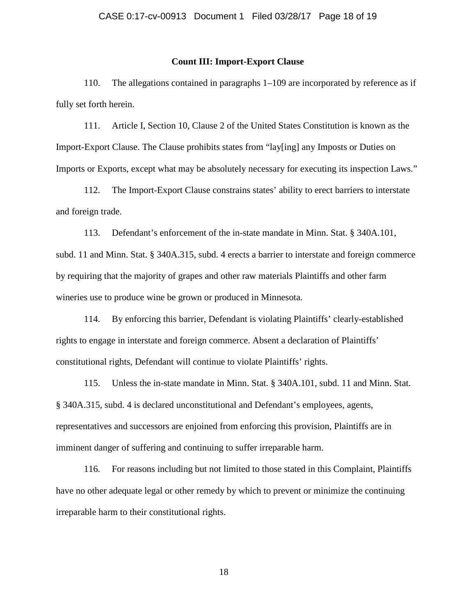## **Count III: Import-Export Clause**

110. The allegations contained in paragraphs 1–109 are incorporated by reference as if fully set forth herein.

111. Article I, Section 10, Clause 2 of the United States Constitution is known as the Import-Export Clause. The Clause prohibits states from "lay[ing] any Imposts or Duties on Imports or Exports, except what may be absolutely necessary for executing its inspection Laws."

112. The Import-Export Clause constrains states' ability to erect barriers to interstate and foreign trade.

113. Defendant's enforcement of the in-state mandate in Minn. Stat. § 340A.101, subd. 11 and Minn. Stat. § 340A.315, subd. 4 erects a barrier to interstate and foreign commerce by requiring that the majority of grapes and other raw materials Plaintiffs and other farm wineries use to produce wine be grown or produced in Minnesota.

114. By enforcing this barrier, Defendant is violating Plaintiffs' clearly-established rights to engage in interstate and foreign commerce. Absent a declaration of Plaintiffs' constitutional rights, Defendant will continue to violate Plaintiffs' rights.

115. Unless the in-state mandate in Minn. Stat. § 340A.101, subd. 11 and Minn. Stat. § 340A.315, subd. 4 is declared unconstitutional and Defendant's employees, agents, representatives and successors are enjoined from enforcing this provision, Plaintiffs are in imminent danger of suffering and continuing to suffer irreparable harm.

116. For reasons including but not limited to those stated in this Complaint, Plaintiffs have no other adequate legal or other remedy by which to prevent or minimize the continuing irreparable harm to their constitutional rights.